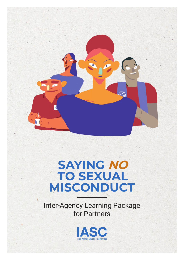# **SAYING NO TO SEXUAL MISCONDUCT**

 $\boldsymbol{\rho}$ 

 $\widehat{\mathbb{R}}$ 

Inter-Agency Learning Package for Partners

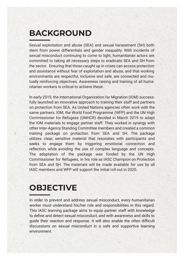# **BACKGROUND**

Sexual exploitation and abuse (SEA) and sexual harassment (SH) both stem from power differentials and gender inequality. With incidents of sexual misconduct continuing to come to light, humanitarian actors are committed to taking all necessary steps to eradicate SEA and SH from the sector. Ensuring that those caught up in crises can access protection and assistance without fear of exploitation and abuse, and that working environments are respectful, inclusive and safe, are connected and mutually reinforcing objectives. Awareness raising and training of all humanitarian workers is critical to achieve these.

In early 2019, the International Organization for Migration (IOM) successfully launched an innovative approach to training their staff and partners on protection from SEA. As United Nations agencies often work with the same partners, IOM, the World Food Programme (WFP) and the UN High Commissioner for Refugees (UNHCR) decided in March 2019 to adapt the IOM materials to engage partner staff. They worked in synergy with other Inter-Agency Standing Committee members and created a common training package on protection from SEA and SH. The package utilizes clear, sensitive material that resonates with participants and seeks to engage them by triggering emotional connection and reflection, while avoiding the use of complex language and concepts. The adaptation of the package was funded by the UN High Commissioner for Refugees, in his role as IASC Champion on Protection from SEA and SH. The materials will be made available for use by all IASC members and WFP will support the initial roll-out in 2020.

## **OBJECTIVE**

In order to prevent and address sexual misconduct, every humanitarian worker must understand his/her role and responsibilities in this regard. This IASC learning package aims to equip partner staff with knowledge to define and detect sexual misconduct, and with awareness and skills to guide their reaction and response. It will also enable the often difficult discussions on sexual misconduct in a safe and supportive learning environment.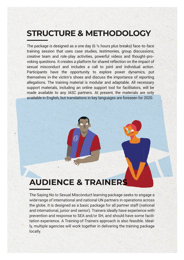#### **STRUCTURE & METHODOLOGY**

The package is designed as a one day (6 ½ hours plus breaks) face-to-face training session that uses case studies, testimonies, group discussions, creative team and role-play activities, powerful videos and thought-provoking questions. It creates a platform for shared reflection on the impact of sexual misconduct and includes a call to joint and individual action. Participants have the opportunity to explore power dynamics, put themselves in the victim's shoes and discuss the importance of reporting allegations. The training material is modular and adaptable. All necessary support materials, including an online support tool for facilitators, will be made available to any IASC partners. At present, the materials are only available in English, but translations in key languages are foreseen for 2020.

## **AUDIENCE & TRAINERS**

The Saying No to Sexual Misconduct learning package seeks to engage a wide range of international and national UN partners in operations across the globe. It is designed as a basic package for all partner staff (national and international, junior and senior). Trainers ideally have experience with prevention and response to SEA and/or SH, and should have some facilitation experience. A Training-of-Trainers approach is also feasible. Ideally, multiple agencies will work together in delivering the training package locally.